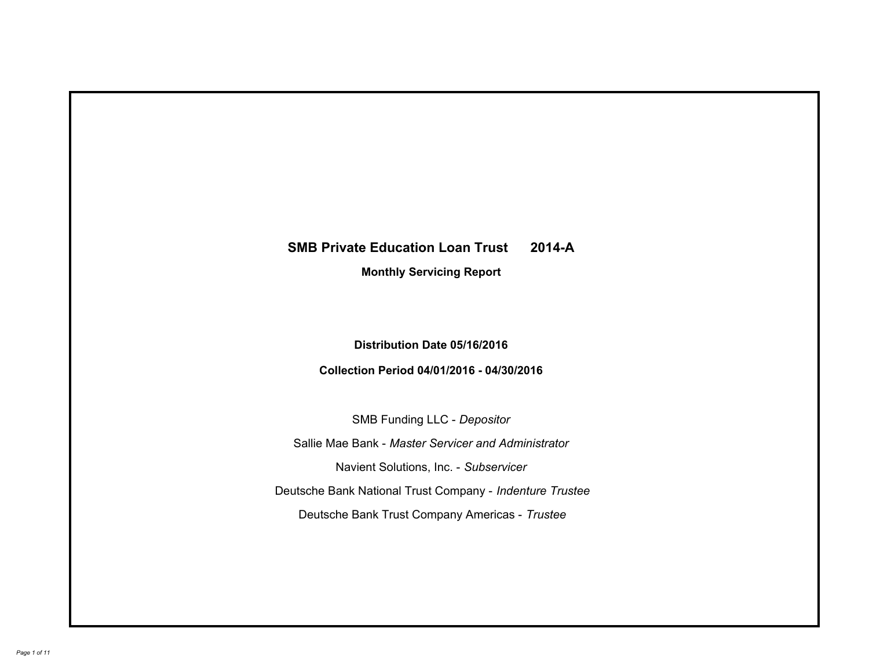# **SMB Private Education Loan Trust 2014-A Monthly Servicing Report**

# **Distribution Date 05/16/2016**

# **Collection Period 04/01/2016 - 04/30/2016**

SMB Funding LLC - *Depositor*

Sallie Mae Bank - *Master Servicer and Administrator*

Navient Solutions, Inc. - *Subservicer*

Deutsche Bank National Trust Company - *Indenture Trustee*

Deutsche Bank Trust Company Americas - *Trustee*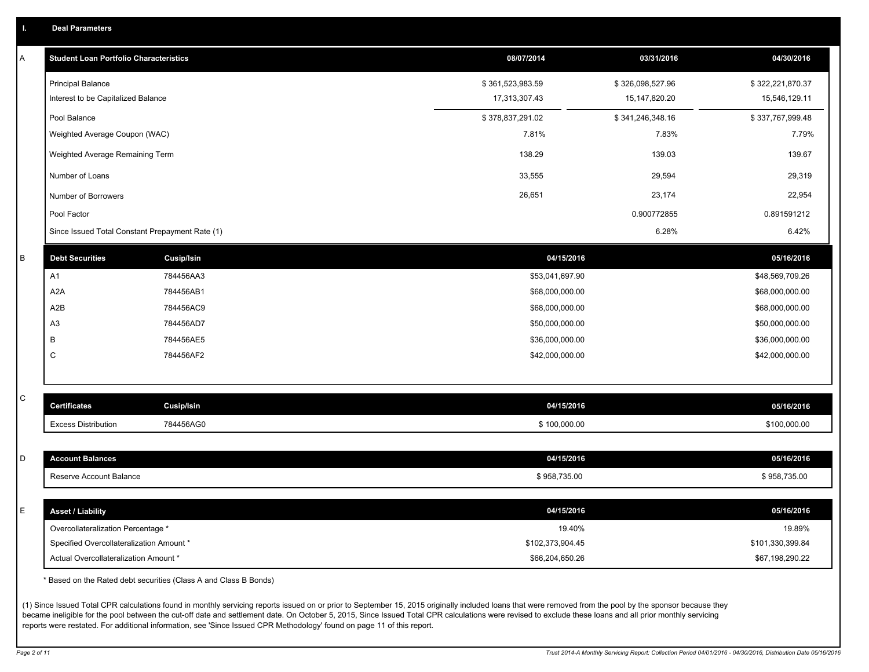|  |  |  | <b>Deal Parameters</b> |  |
|--|--|--|------------------------|--|
|--|--|--|------------------------|--|

| Α | <b>Student Loan Portfolio Characteristics</b>   |                   | 08/07/2014       | 03/31/2016       | 04/30/2016       |
|---|-------------------------------------------------|-------------------|------------------|------------------|------------------|
|   | <b>Principal Balance</b>                        |                   | \$361,523,983.59 | \$326,098,527.96 | \$322,221,870.37 |
|   | Interest to be Capitalized Balance              |                   | 17,313,307.43    | 15, 147, 820. 20 | 15,546,129.11    |
|   | Pool Balance                                    |                   | \$378,837,291.02 | \$341,246,348.16 | \$337,767,999.48 |
|   | Weighted Average Coupon (WAC)                   |                   | 7.81%            | 7.83%            | 7.79%            |
|   | Weighted Average Remaining Term                 |                   | 138.29           | 139.03           | 139.67           |
|   | Number of Loans                                 |                   | 33,555           | 29,594           | 29,319           |
|   | Number of Borrowers                             |                   | 26,651           | 23,174           | 22,954           |
|   | Pool Factor                                     |                   |                  | 0.900772855      | 0.891591212      |
|   | Since Issued Total Constant Prepayment Rate (1) |                   |                  | 6.28%            | 6.42%            |
| В | <b>Debt Securities</b>                          | <b>Cusip/Isin</b> | 04/15/2016       |                  | 05/16/2016       |
|   | A1                                              | 784456AA3         | \$53,041,697.90  |                  | \$48,569,709.26  |
|   | A <sub>2</sub> A                                | 784456AB1         | \$68,000,000.00  |                  | \$68,000,000.00  |
|   | A2B                                             | 784456AC9         | \$68,000,000.00  |                  | \$68,000,000.00  |
|   | A <sub>3</sub>                                  | 784456AD7         | \$50,000,000.00  |                  | \$50,000,000.00  |
|   | В                                               | 784456AE5         | \$36,000,000.00  |                  | \$36,000,000.00  |
|   | C                                               | 784456AF2         | \$42,000,000.00  |                  | \$42,000,000.00  |
|   |                                                 |                   |                  |                  |                  |
| C | <b>Certificates</b>                             | Cusip/Isin        | 04/15/2016       |                  | 05/16/2016       |
|   | <b>Excess Distribution</b>                      | 784456AG0         | \$100,000.00     |                  | \$100,000.00     |
|   |                                                 |                   |                  |                  |                  |
| D | <b>Account Balances</b>                         |                   | 04/15/2016       |                  | 05/16/2016       |
|   | Reserve Account Balance                         |                   | \$958,735.00     |                  | \$958,735.00     |
|   |                                                 |                   |                  |                  |                  |
| E | <b>Asset / Liability</b>                        |                   | 04/15/2016       |                  | 05/16/2016       |
|   | Overcollateralization Percentage *              |                   | 19.40%           |                  | 19.89%           |
|   | Specified Overcollateralization Amount *        |                   | \$102,373,904.45 |                  | \$101,330,399.84 |
|   | Actual Overcollateralization Amount *           |                   | \$66,204,650.26  |                  | \$67,198,290.22  |

\* Based on the Rated debt securities (Class A and Class B Bonds)

(1) Since Issued Total CPR calculations found in monthly servicing reports issued on or prior to September 15, 2015 originally included loans that were removed from the pool by the sponsor because they became ineligible for the pool between the cut-off date and settlement date. On October 5, 2015, Since Issued Total CPR calculations were revised to exclude these loans and all prior monthly servicing reports were restated. For additional information, see 'Since Issued CPR Methodology' found on page 11 of this report.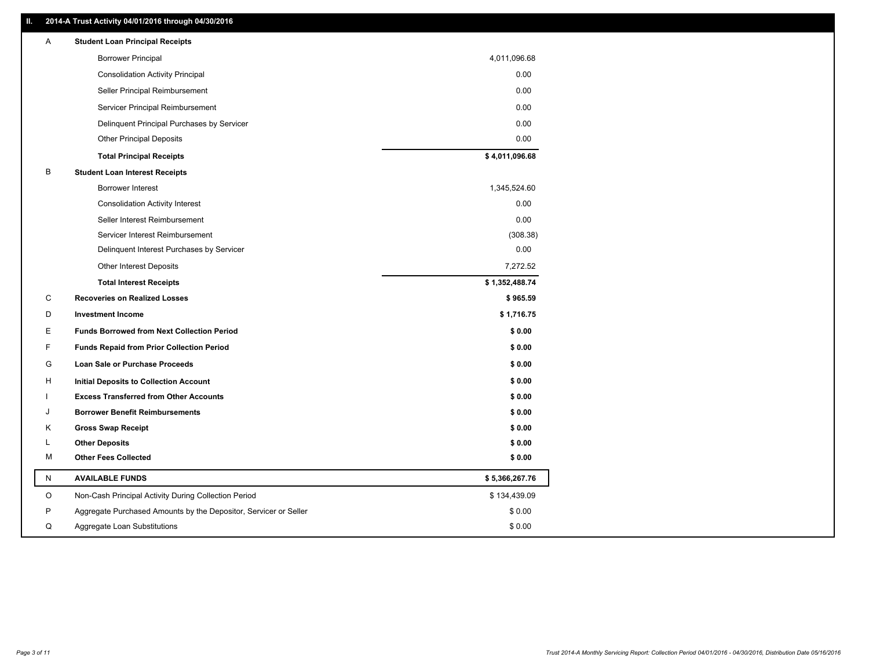### **II. 2014-A Trust Activity 04/01/2016 through 04/30/2016**

| Α  | <b>Student Loan Principal Receipts</b>                           |                |
|----|------------------------------------------------------------------|----------------|
|    | <b>Borrower Principal</b>                                        | 4,011,096.68   |
|    | <b>Consolidation Activity Principal</b>                          | 0.00           |
|    | Seller Principal Reimbursement                                   | 0.00           |
|    | Servicer Principal Reimbursement                                 | 0.00           |
|    | Delinquent Principal Purchases by Servicer                       | 0.00           |
|    | <b>Other Principal Deposits</b>                                  | 0.00           |
|    | <b>Total Principal Receipts</b>                                  | \$4,011,096.68 |
| B  | <b>Student Loan Interest Receipts</b>                            |                |
|    | <b>Borrower Interest</b>                                         | 1,345,524.60   |
|    | <b>Consolidation Activity Interest</b>                           | 0.00           |
|    | Seller Interest Reimbursement                                    | 0.00           |
|    | Servicer Interest Reimbursement                                  | (308.38)       |
|    | Delinquent Interest Purchases by Servicer                        | 0.00           |
|    | <b>Other Interest Deposits</b>                                   | 7,272.52       |
|    | <b>Total Interest Receipts</b>                                   | \$1,352,488.74 |
| С  | <b>Recoveries on Realized Losses</b>                             | \$965.59       |
| D  | <b>Investment Income</b>                                         | \$1,716.75     |
| Е  | <b>Funds Borrowed from Next Collection Period</b>                | \$0.00         |
| F  | <b>Funds Repaid from Prior Collection Period</b>                 | \$0.00         |
| G  | <b>Loan Sale or Purchase Proceeds</b>                            | \$0.00         |
| н  | Initial Deposits to Collection Account                           | \$0.00         |
|    | <b>Excess Transferred from Other Accounts</b>                    | \$0.00         |
| ۱. | <b>Borrower Benefit Reimbursements</b>                           | \$0.00         |
| Κ  | <b>Gross Swap Receipt</b>                                        | \$0.00         |
| L  | <b>Other Deposits</b>                                            | \$0.00         |
| М  | <b>Other Fees Collected</b>                                      | \$0.00         |
| N  | <b>AVAILABLE FUNDS</b>                                           | \$5,366,267.76 |
| O  | Non-Cash Principal Activity During Collection Period             | \$134,439.09   |
| P  | Aggregate Purchased Amounts by the Depositor, Servicer or Seller | \$0.00         |
| Q  | Aggregate Loan Substitutions                                     | \$0.00         |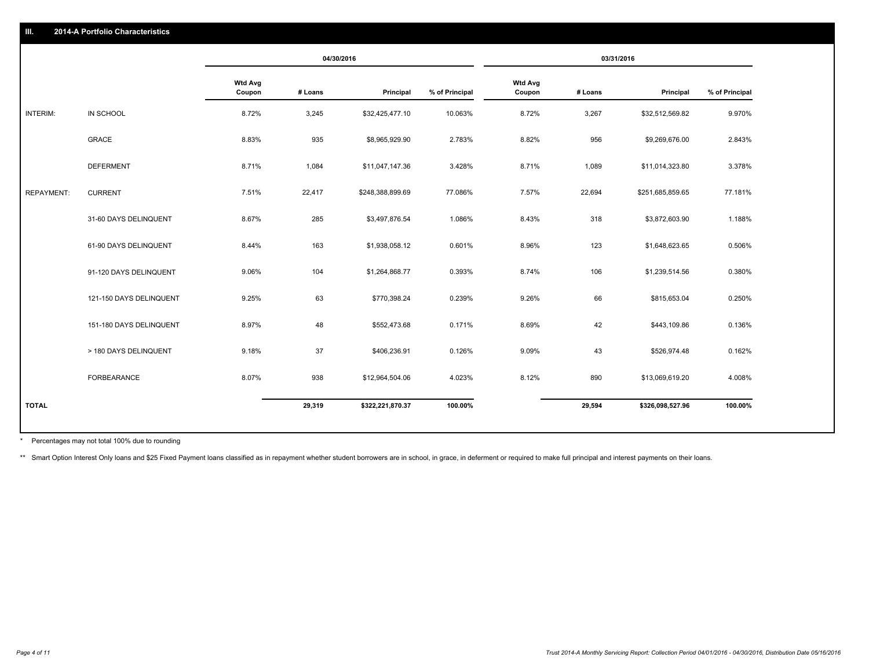|                   |                         | 04/30/2016               |         | 03/31/2016       |                |                          |         |                  |                |
|-------------------|-------------------------|--------------------------|---------|------------------|----------------|--------------------------|---------|------------------|----------------|
|                   |                         | <b>Wtd Avg</b><br>Coupon | # Loans | Principal        | % of Principal | <b>Wtd Avg</b><br>Coupon | # Loans | Principal        | % of Principal |
| INTERIM:          | IN SCHOOL               | 8.72%                    | 3,245   | \$32,425,477.10  | 10.063%        | 8.72%                    | 3,267   | \$32,512,569.82  | 9.970%         |
|                   | GRACE                   | 8.83%                    | 935     | \$8,965,929.90   | 2.783%         | 8.82%                    | 956     | \$9,269,676.00   | 2.843%         |
|                   | <b>DEFERMENT</b>        | 8.71%                    | 1,084   | \$11,047,147.36  | 3.428%         | 8.71%                    | 1,089   | \$11,014,323.80  | 3.378%         |
| <b>REPAYMENT:</b> | <b>CURRENT</b>          | 7.51%                    | 22,417  | \$248,388,899.69 | 77.086%        | 7.57%                    | 22,694  | \$251,685,859.65 | 77.181%        |
|                   | 31-60 DAYS DELINQUENT   | 8.67%                    | 285     | \$3,497,876.54   | 1.086%         | 8.43%                    | 318     | \$3,872,603.90   | 1.188%         |
|                   | 61-90 DAYS DELINQUENT   | 8.44%                    | 163     | \$1,938,058.12   | 0.601%         | 8.96%                    | 123     | \$1,648,623.65   | 0.506%         |
|                   | 91-120 DAYS DELINQUENT  | 9.06%                    | 104     | \$1,264,868.77   | 0.393%         | 8.74%                    | 106     | \$1,239,514.56   | 0.380%         |
|                   | 121-150 DAYS DELINQUENT | 9.25%                    | 63      | \$770,398.24     | 0.239%         | 9.26%                    | 66      | \$815,653.04     | 0.250%         |
|                   | 151-180 DAYS DELINQUENT | 8.97%                    | 48      | \$552,473.68     | 0.171%         | 8.69%                    | 42      | \$443,109.86     | 0.136%         |
|                   | > 180 DAYS DELINQUENT   | 9.18%                    | 37      | \$406,236.91     | 0.126%         | 9.09%                    | 43      | \$526,974.48     | 0.162%         |
|                   | FORBEARANCE             | 8.07%                    | 938     | \$12,964,504.06  | 4.023%         | 8.12%                    | 890     | \$13,069,619.20  | 4.008%         |
| <b>TOTAL</b>      |                         |                          | 29,319  | \$322,221,870.37 | 100.00%        |                          | 29,594  | \$326,098,527.96 | 100.00%        |

Percentages may not total 100% due to rounding \*

\*\* Smart Option Interest Only loans and \$25 Fixed Payment loans classified as in repayment whether student borrowers are in school, in grace, in deferment or required to make full principal and interest payments on their l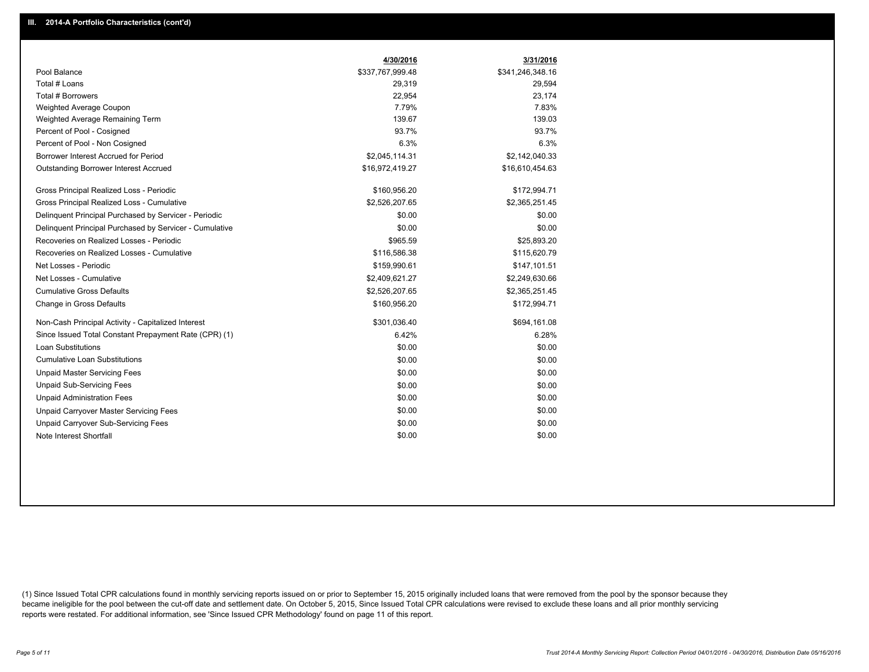|                                                         | 4/30/2016        | 3/31/2016        |
|---------------------------------------------------------|------------------|------------------|
| Pool Balance                                            | \$337,767,999.48 | \$341,246,348.16 |
| Total # Loans                                           | 29,319           | 29,594           |
| Total # Borrowers                                       | 22,954           | 23.174           |
| Weighted Average Coupon                                 | 7.79%            | 7.83%            |
| Weighted Average Remaining Term                         | 139.67           | 139.03           |
| Percent of Pool - Cosigned                              | 93.7%            | 93.7%            |
| Percent of Pool - Non Cosigned                          | 6.3%             | 6.3%             |
| Borrower Interest Accrued for Period                    | \$2,045,114.31   | \$2,142,040.33   |
| Outstanding Borrower Interest Accrued                   | \$16,972,419.27  | \$16,610,454.63  |
| Gross Principal Realized Loss - Periodic                | \$160,956.20     | \$172,994.71     |
| Gross Principal Realized Loss - Cumulative              | \$2,526,207.65   | \$2,365,251.45   |
| Delinquent Principal Purchased by Servicer - Periodic   | \$0.00           | \$0.00           |
| Delinquent Principal Purchased by Servicer - Cumulative | \$0.00           | \$0.00           |
| Recoveries on Realized Losses - Periodic                | \$965.59         | \$25,893.20      |
| Recoveries on Realized Losses - Cumulative              | \$116,586.38     | \$115,620.79     |
| Net Losses - Periodic                                   | \$159,990.61     | \$147,101.51     |
| Net Losses - Cumulative                                 | \$2,409,621.27   | \$2,249,630.66   |
| <b>Cumulative Gross Defaults</b>                        | \$2,526,207.65   | \$2,365,251.45   |
| Change in Gross Defaults                                | \$160,956.20     | \$172,994.71     |
| Non-Cash Principal Activity - Capitalized Interest      | \$301,036.40     | \$694,161.08     |
| Since Issued Total Constant Prepayment Rate (CPR) (1)   | 6.42%            | 6.28%            |
| <b>Loan Substitutions</b>                               | \$0.00           | \$0.00           |
| <b>Cumulative Loan Substitutions</b>                    | \$0.00           | \$0.00           |
| <b>Unpaid Master Servicing Fees</b>                     | \$0.00           | \$0.00           |
| <b>Unpaid Sub-Servicing Fees</b>                        | \$0.00           | \$0.00           |
| <b>Unpaid Administration Fees</b>                       | \$0.00           | \$0.00           |
| Unpaid Carryover Master Servicing Fees                  | \$0.00           | \$0.00           |
| <b>Unpaid Carryover Sub-Servicing Fees</b>              | \$0.00           | \$0.00           |
| Note Interest Shortfall                                 | \$0.00           | \$0.00           |

(1) Since Issued Total CPR calculations found in monthly servicing reports issued on or prior to September 15, 2015 originally included loans that were removed from the pool by the sponsor because they became ineligible for the pool between the cut-off date and settlement date. On October 5, 2015, Since Issued Total CPR calculations were revised to exclude these loans and all prior monthly servicing reports were restated. For additional information, see 'Since Issued CPR Methodology' found on page 11 of this report.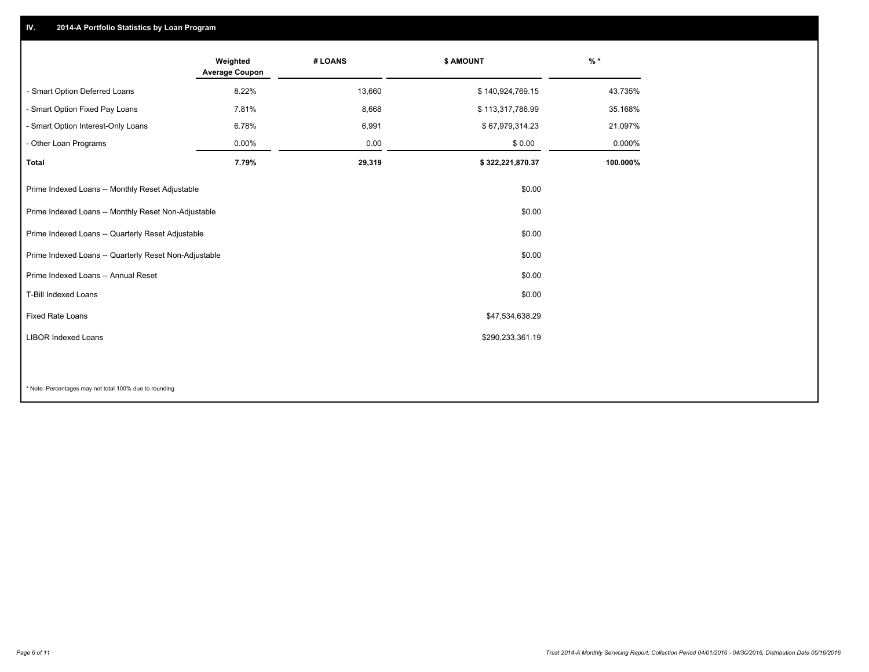## **IV. 2014-A Portfolio Statistics by Loan Program**

|                                                       | Weighted<br><b>Average Coupon</b> | # LOANS | \$ AMOUNT        | $%$ *    |
|-------------------------------------------------------|-----------------------------------|---------|------------------|----------|
| - Smart Option Deferred Loans                         | 8.22%                             | 13,660  | \$140,924,769.15 | 43.735%  |
| - Smart Option Fixed Pay Loans                        | 7.81%                             | 8,668   | \$113,317,786.99 | 35.168%  |
| - Smart Option Interest-Only Loans                    | 6.78%                             | 6,991   | \$67,979,314.23  | 21.097%  |
| - Other Loan Programs                                 | $0.00\%$                          | 0.00    | \$0.00           | 0.000%   |
| <b>Total</b>                                          | 7.79%                             | 29,319  | \$322,221,870.37 | 100.000% |
| Prime Indexed Loans -- Monthly Reset Adjustable       |                                   |         | \$0.00           |          |
| Prime Indexed Loans -- Monthly Reset Non-Adjustable   |                                   |         | \$0.00           |          |
| Prime Indexed Loans -- Quarterly Reset Adjustable     |                                   |         | \$0.00           |          |
| Prime Indexed Loans -- Quarterly Reset Non-Adjustable |                                   |         | \$0.00           |          |
| Prime Indexed Loans -- Annual Reset                   |                                   |         | \$0.00           |          |
| <b>T-Bill Indexed Loans</b>                           |                                   |         | \$0.00           |          |
| <b>Fixed Rate Loans</b>                               |                                   |         | \$47,534,638.29  |          |
| <b>LIBOR Indexed Loans</b>                            |                                   |         | \$290,233,361.19 |          |
|                                                       |                                   |         |                  |          |

\* Note: Percentages may not total 100% due to rounding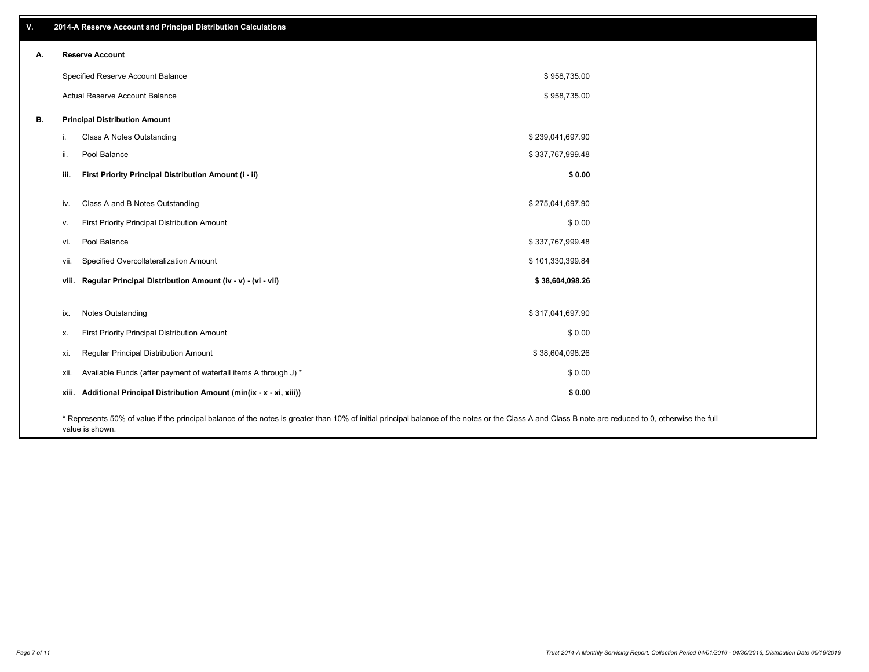| V. |       | 2014-A Reserve Account and Principal Distribution Calculations                                                                                                                                                        |                  |  |
|----|-------|-----------------------------------------------------------------------------------------------------------------------------------------------------------------------------------------------------------------------|------------------|--|
| А. |       | <b>Reserve Account</b>                                                                                                                                                                                                |                  |  |
|    |       | Specified Reserve Account Balance                                                                                                                                                                                     | \$958,735.00     |  |
|    |       | Actual Reserve Account Balance                                                                                                                                                                                        | \$958,735.00     |  |
| В. |       | <b>Principal Distribution Amount</b>                                                                                                                                                                                  |                  |  |
|    | Π.    | Class A Notes Outstanding                                                                                                                                                                                             | \$239,041,697.90 |  |
|    | ii.   | Pool Balance                                                                                                                                                                                                          | \$337,767,999.48 |  |
|    | iii.  | First Priority Principal Distribution Amount (i - ii)                                                                                                                                                                 | \$0.00           |  |
|    |       |                                                                                                                                                                                                                       |                  |  |
|    | iv.   | Class A and B Notes Outstanding                                                                                                                                                                                       | \$275,041,697.90 |  |
|    | v.    | First Priority Principal Distribution Amount                                                                                                                                                                          | \$0.00           |  |
|    | vi.   | Pool Balance                                                                                                                                                                                                          | \$337,767,999.48 |  |
|    | vii.  | Specified Overcollateralization Amount                                                                                                                                                                                | \$101,330,399.84 |  |
|    |       | viii. Regular Principal Distribution Amount (iv - v) - (vi - vii)                                                                                                                                                     | \$38,604,098.26  |  |
|    |       |                                                                                                                                                                                                                       |                  |  |
|    | ix.   | Notes Outstanding                                                                                                                                                                                                     | \$317,041,697.90 |  |
|    | Х.    | First Priority Principal Distribution Amount                                                                                                                                                                          | \$0.00           |  |
|    | xi.   | Regular Principal Distribution Amount                                                                                                                                                                                 | \$38,604,098.26  |  |
|    | xii.  | Available Funds (after payment of waterfall items A through J) *                                                                                                                                                      | \$0.00           |  |
|    | xiii. | Additional Principal Distribution Amount (min(ix - x - xi, xiii))                                                                                                                                                     | \$0.00           |  |
|    |       | * Represents 50% of value if the principal balance of the notes is greater than 10% of initial principal balance of the notes or the Class A and Class B note are reduced to 0, otherwise the full<br>value is shown. |                  |  |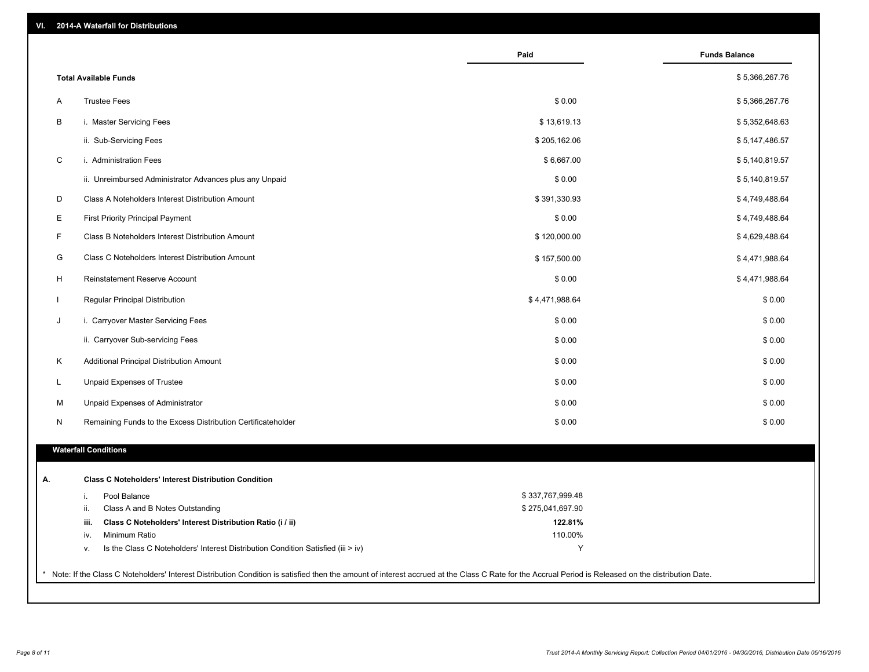| VI. |  | 2014-A Waterfall for Distributions |  |  |  |
|-----|--|------------------------------------|--|--|--|
|-----|--|------------------------------------|--|--|--|

|              |                                                                                        | Paid             | <b>Funds Balance</b> |
|--------------|----------------------------------------------------------------------------------------|------------------|----------------------|
|              | <b>Total Available Funds</b>                                                           |                  | \$5,366,267.76       |
| A            | <b>Trustee Fees</b>                                                                    | \$0.00           | \$5,366,267.76       |
| B            | i. Master Servicing Fees                                                               | \$13,619.13      | \$5,352,648.63       |
|              | ii. Sub-Servicing Fees                                                                 | \$205,162.06     | \$5,147,486.57       |
| $\mathsf C$  | i. Administration Fees                                                                 | \$6,667.00       | \$5,140,819.57       |
|              | ii. Unreimbursed Administrator Advances plus any Unpaid                                | \$0.00           | \$5,140,819.57       |
| D            | Class A Noteholders Interest Distribution Amount                                       | \$391,330.93     | \$4,749,488.64       |
| E            | First Priority Principal Payment                                                       | \$0.00           | \$4,749,488.64       |
| F            | Class B Noteholders Interest Distribution Amount                                       | \$120,000.00     | \$4,629,488.64       |
| G            | Class C Noteholders Interest Distribution Amount                                       | \$157,500.00     | \$4,471,988.64       |
| H            | Reinstatement Reserve Account                                                          | \$0.00           | \$4,471,988.64       |
| $\mathbf{I}$ | Regular Principal Distribution                                                         | \$4,471,988.64   | \$0.00               |
| J            | i. Carryover Master Servicing Fees                                                     | \$0.00           | \$0.00               |
|              | ii. Carryover Sub-servicing Fees                                                       | \$0.00           | \$0.00               |
| K            | Additional Principal Distribution Amount                                               | \$0.00           | \$0.00               |
| L            | Unpaid Expenses of Trustee                                                             | \$0.00           | \$0.00               |
| M            | Unpaid Expenses of Administrator                                                       | \$0.00           | \$0.00               |
| N            | Remaining Funds to the Excess Distribution Certificateholder                           | \$0.00           | \$0.00               |
|              | <b>Waterfall Conditions</b>                                                            |                  |                      |
|              | <b>Class C Noteholders' Interest Distribution Condition</b>                            |                  |                      |
|              | Pool Balance<br>i.                                                                     | \$337,767,999.48 |                      |
|              | ii.<br>Class A and B Notes Outstanding                                                 | \$275,041,697.90 |                      |
|              | Class C Noteholders' Interest Distribution Ratio (i / ii)<br>iii.                      | 122.81%          |                      |
|              | Minimum Ratio<br>iv.                                                                   | 110.00%          |                      |
|              | Is the Class C Noteholders' Interest Distribution Condition Satisfied (iii > iv)<br>v. | Y                |                      |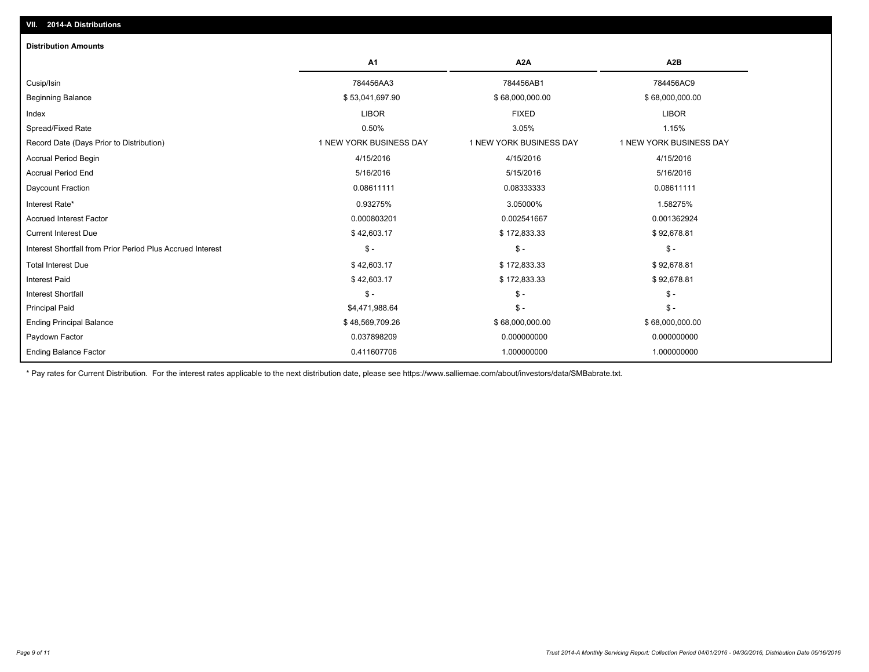| <b>Distribution Amounts</b>                                |                         |                         |                         |
|------------------------------------------------------------|-------------------------|-------------------------|-------------------------|
|                                                            | <b>A1</b>               | A <sub>2</sub> A        | A <sub>2</sub> B        |
| Cusip/Isin                                                 | 784456AA3               | 784456AB1               | 784456AC9               |
| <b>Beginning Balance</b>                                   | \$53,041,697.90         | \$68,000,000.00         | \$68,000,000.00         |
| Index                                                      | <b>LIBOR</b>            | <b>FIXED</b>            | <b>LIBOR</b>            |
| Spread/Fixed Rate                                          | 0.50%                   | 3.05%                   | 1.15%                   |
| Record Date (Days Prior to Distribution)                   | 1 NEW YORK BUSINESS DAY | 1 NEW YORK BUSINESS DAY | 1 NEW YORK BUSINESS DAY |
| <b>Accrual Period Begin</b>                                | 4/15/2016               | 4/15/2016               | 4/15/2016               |
| <b>Accrual Period End</b>                                  | 5/16/2016               | 5/15/2016               | 5/16/2016               |
| <b>Daycount Fraction</b>                                   | 0.08611111              | 0.08333333              | 0.08611111              |
| Interest Rate*                                             | 0.93275%                | 3.05000%                | 1.58275%                |
| <b>Accrued Interest Factor</b>                             | 0.000803201             | 0.002541667             | 0.001362924             |
| <b>Current Interest Due</b>                                | \$42,603.17             | \$172,833.33            | \$92,678.81             |
| Interest Shortfall from Prior Period Plus Accrued Interest | $\mathsf{\$}$ -         | $\frac{1}{2}$           | $$ -$                   |
| <b>Total Interest Due</b>                                  | \$42,603.17             | \$172,833.33            | \$92,678.81             |
| <b>Interest Paid</b>                                       | \$42,603.17             | \$172,833.33            | \$92,678.81             |
| <b>Interest Shortfall</b>                                  | $\mathsf{\$}$ -         | $\mathsf{\$}$ -         | $$ -$                   |
| <b>Principal Paid</b>                                      | \$4,471,988.64          | $\frac{2}{3}$ -         | $S -$                   |
| <b>Ending Principal Balance</b>                            | \$48,569,709.26         | \$68,000,000.00         | \$68,000,000.00         |
| Paydown Factor                                             | 0.037898209             | 0.000000000             | 0.000000000             |
| <b>Ending Balance Factor</b>                               | 0.411607706             | 1.000000000             | 1.000000000             |

\* Pay rates for Current Distribution. For the interest rates applicable to the next distribution date, please see https://www.salliemae.com/about/investors/data/SMBabrate.txt.

**VII. 2014-A Distributions**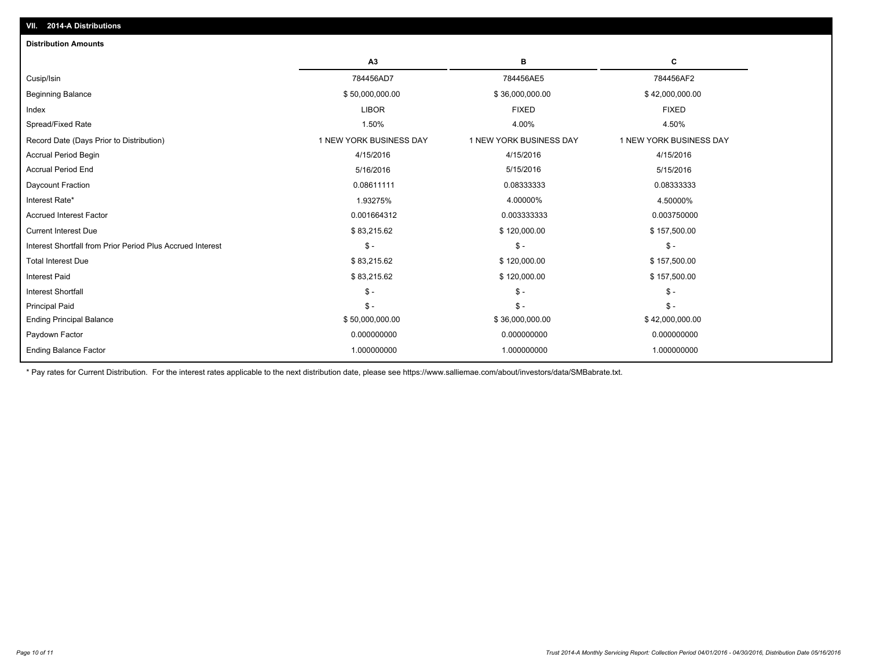| <b>Distribution Amounts</b>                                |                         |                         |                         |
|------------------------------------------------------------|-------------------------|-------------------------|-------------------------|
|                                                            | A3                      | В                       | C                       |
| Cusip/Isin                                                 | 784456AD7               | 784456AE5               | 784456AF2               |
| <b>Beginning Balance</b>                                   | \$50,000,000.00         | \$36,000,000.00         | \$42,000,000.00         |
| Index                                                      | <b>LIBOR</b>            | <b>FIXED</b>            | <b>FIXED</b>            |
| Spread/Fixed Rate                                          | 1.50%                   | 4.00%                   | 4.50%                   |
| Record Date (Days Prior to Distribution)                   | 1 NEW YORK BUSINESS DAY | 1 NEW YORK BUSINESS DAY | 1 NEW YORK BUSINESS DAY |
| <b>Accrual Period Begin</b>                                | 4/15/2016               | 4/15/2016               | 4/15/2016               |
| <b>Accrual Period End</b>                                  | 5/16/2016               | 5/15/2016               | 5/15/2016               |
| Daycount Fraction                                          | 0.08611111              | 0.08333333              | 0.08333333              |
| Interest Rate*                                             | 1.93275%                | 4.00000%                | 4.50000%                |
| <b>Accrued Interest Factor</b>                             | 0.001664312             | 0.003333333             | 0.003750000             |
| <b>Current Interest Due</b>                                | \$83,215.62             | \$120,000.00            | \$157,500.00            |
| Interest Shortfall from Prior Period Plus Accrued Interest | $\mathsf{\$}$ -         | $\mathbb{S}$ -          | $\mathsf{\$}$ -         |
| <b>Total Interest Due</b>                                  | \$83,215.62             | \$120,000.00            | \$157,500.00            |
| <b>Interest Paid</b>                                       | \$83,215.62             | \$120,000.00            | \$157,500.00            |
| <b>Interest Shortfall</b>                                  | $\mathsf{\$}$ -         | $\mathcal{S}$ -         | $$ -$                   |
| <b>Principal Paid</b>                                      | $\mathsf{\$}$ -         | $\mathbb{S}$ -          | $S -$                   |
| <b>Ending Principal Balance</b>                            | \$50,000,000.00         | \$36,000,000.00         | \$42,000,000.00         |
| Paydown Factor                                             | 0.000000000             | 0.000000000             | 0.000000000             |
| <b>Ending Balance Factor</b>                               | 1.000000000             | 1.000000000             | 1.000000000             |
|                                                            |                         |                         |                         |

\* Pay rates for Current Distribution. For the interest rates applicable to the next distribution date, please see https://www.salliemae.com/about/investors/data/SMBabrate.txt.

**VII. 2014-A Distributions**